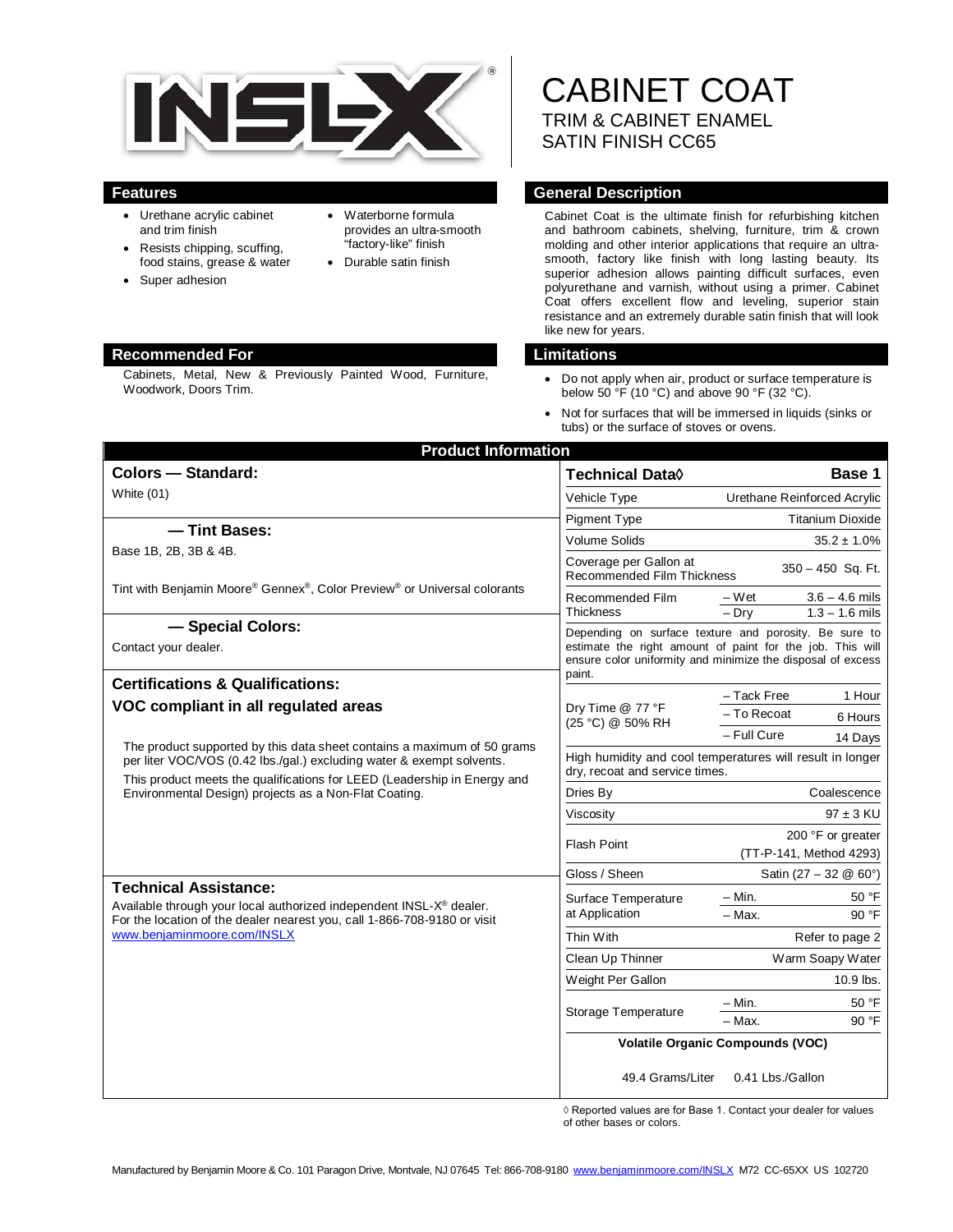

- Urethane acrylic cabinet and trim finish
- Resists chipping, scuffing, food stains, grease & water
- Super adhesion
- Waterborne formula provides an ultra-smooth "factory-like" finish
- Durable satin finish

#### **Recommended For Limitations**

Cabinets, Metal, New & Previously Painted Wood, Furniture, Woodwork, Doors Trim.

CABINET COAT TRIM & CABINET ENAMEL SATIN FINISH CC65

### **Features General Description**

Cabinet Coat is the ultimate finish for refurbishing kitchen and bathroom cabinets, shelving, furniture, trim & crown molding and other interior applications that require an ultrasmooth, factory like finish with long lasting beauty. Its superior adhesion allows painting difficult surfaces, even polyurethane and varnish, without using a primer. Cabinet Coat offers excellent flow and leveling, superior stain resistance and an extremely durable satin finish that will look like new for years.

- Do not apply when air, product or surface temperature is below 50  $\overline{P}$  (10 °C) and above 90 °F (32 °C).
- Not for surfaces that will be immersed in liquids (sinks or tubs) or the surface of stoves or ovens.

| <b>Product Information</b>                                                                                                                                                                                                                                                                                                    |                                                                                                                                                                                             |                                                          |
|-------------------------------------------------------------------------------------------------------------------------------------------------------------------------------------------------------------------------------------------------------------------------------------------------------------------------------|---------------------------------------------------------------------------------------------------------------------------------------------------------------------------------------------|----------------------------------------------------------|
| <b>Colors - Standard:</b>                                                                                                                                                                                                                                                                                                     | Technical Data $\Diamond$                                                                                                                                                                   | Base 1                                                   |
| White $(01)$                                                                                                                                                                                                                                                                                                                  | Vehicle Type                                                                                                                                                                                | Urethane Reinforced Acrylic                              |
|                                                                                                                                                                                                                                                                                                                               | Pigment Type                                                                                                                                                                                | <b>Titanium Dioxide</b>                                  |
| -Tint Bases:<br>Base 1B, 2B, 3B & 4B.                                                                                                                                                                                                                                                                                         | <b>Volume Solids</b>                                                                                                                                                                        | $35.2 \pm 1.0\%$                                         |
|                                                                                                                                                                                                                                                                                                                               | Coverage per Gallon at<br>350 - 450 Sq. Ft.<br>Recommended Film Thickness                                                                                                                   |                                                          |
| Tint with Benjamin Moore® Gennex®, Color Preview® or Universal colorants                                                                                                                                                                                                                                                      | Recommended Film<br><b>Thickness</b>                                                                                                                                                        | $3.6 - 4.6$ mils<br>– Wet<br>$1.3 - 1.6$ mils<br>$-$ Dry |
| - Special Colors:<br>Contact your dealer.                                                                                                                                                                                                                                                                                     | Depending on surface texture and porosity. Be sure to<br>estimate the right amount of paint for the job. This will<br>ensure color uniformity and minimize the disposal of excess<br>paint. |                                                          |
| <b>Certifications &amp; Qualifications:</b>                                                                                                                                                                                                                                                                                   |                                                                                                                                                                                             | - Tack Free<br>1 Hour                                    |
| VOC compliant in all regulated areas<br>The product supported by this data sheet contains a maximum of 50 grams<br>per liter VOC/VOS (0.42 lbs./gal.) excluding water & exempt solvents.<br>This product meets the qualifications for LEED (Leadership in Energy and<br>Environmental Design) projects as a Non-Flat Coating. | Dry Time @ 77 °F<br>(25 °C) @ 50% RH                                                                                                                                                        | - To Recoat<br>6 Hours                                   |
|                                                                                                                                                                                                                                                                                                                               |                                                                                                                                                                                             | - Full Cure<br>14 Days                                   |
|                                                                                                                                                                                                                                                                                                                               | High humidity and cool temperatures will result in longer<br>dry, recoat and service times.                                                                                                 |                                                          |
|                                                                                                                                                                                                                                                                                                                               | Dries By                                                                                                                                                                                    | Coalescence                                              |
|                                                                                                                                                                                                                                                                                                                               | Viscosity                                                                                                                                                                                   | $97 \pm 3$ KU                                            |
|                                                                                                                                                                                                                                                                                                                               | Flash Point                                                                                                                                                                                 | 200 °F or greater<br>(TT-P-141, Method 4293)             |
|                                                                                                                                                                                                                                                                                                                               | Gloss / Sheen                                                                                                                                                                               | Satin $(27 - 32 \& 60^{\circ})$                          |
| <b>Technical Assistance:</b><br>Available through your local authorized independent INSL-X® dealer.<br>For the location of the dealer nearest you, call 1-866-708-9180 or visit<br>www.benjaminmoore.com/INSLX                                                                                                                | Surface Temperature<br>at Application                                                                                                                                                       | $-$ Min.<br>50 °F                                        |
|                                                                                                                                                                                                                                                                                                                               |                                                                                                                                                                                             | 90 °F<br>- Max.                                          |
|                                                                                                                                                                                                                                                                                                                               | Thin With                                                                                                                                                                                   | Refer to page 2                                          |
|                                                                                                                                                                                                                                                                                                                               | Clean Up Thinner                                                                                                                                                                            | Warm Soapy Water                                         |
|                                                                                                                                                                                                                                                                                                                               | Weight Per Gallon                                                                                                                                                                           | 10.9 lbs.                                                |
|                                                                                                                                                                                                                                                                                                                               | Storage Temperature                                                                                                                                                                         | - Min.<br>50 °F                                          |
|                                                                                                                                                                                                                                                                                                                               |                                                                                                                                                                                             | 90 °F<br>- Max.                                          |
|                                                                                                                                                                                                                                                                                                                               | <b>Volatile Organic Compounds (VOC)</b>                                                                                                                                                     |                                                          |
|                                                                                                                                                                                                                                                                                                                               | 49.4 Grams/Liter                                                                                                                                                                            | 0.41 Lbs./Gallon                                         |

 ◊ Reported values are for Base 1. Contact your dealer for values of other bases or colors.